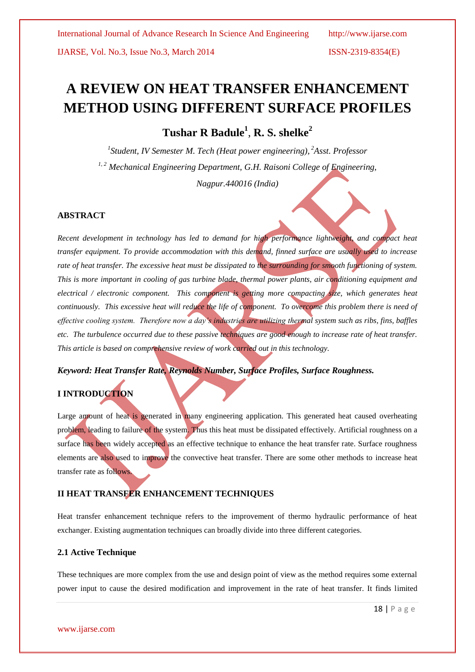IJARSE, Vol. No.3, Issue No.3, March 2014 ISSN-2319-8354(E)

# **A REVIEW ON HEAT TRANSFER ENHANCEMENT METHOD USING DIFFERENT SURFACE PROFILES**

**Tushar R Badule<sup>1</sup>** , **R. S. shelke<sup>2</sup>**

*1 Student, IV Semester M. Tech (Heat power engineering), <sup>2</sup>Asst. Professor 1, 2 Mechanical Engineering Department, G.H. Raisoni College of Engineering, Nagpur.440016 (India)*

# **ABSTRACT**

*Recent development in technology has led to demand for high performance lightweight, and compact heat transfer equipment. To provide accommodation with this demand, finned surface are usually used to increase*  rate of heat transfer. The excessive heat must be dissipated to the surrounding for smooth functioning of system. *This is more important in cooling of gas turbine blade, thermal power plants, air conditioning equipment and electrical / electronic component. This component is getting more compacting size, which generates heat continuously. This excessive heat will reduce the life of component. To overcome this problem there is need of effective cooling system. Therefore now a day's industries are utilizing thermal system such as ribs, fins, baffles etc. The turbulence occurred due to these passive techniques are good enough to increase rate of heat transfer. This article is based on comprehensive review of work carried out in this technology.* 

*Keyword: Heat Transfer Rate, Reynolds Number, Surface Profiles, Surface Roughness.*

# **I INTRODUCTION**

Large amount of heat is generated in many engineering application. This generated heat caused overheating problem, leading to failure of the system. Thus this heat must be dissipated effectively. Artificial roughness on a surface has been widely accepted as an effective technique to enhance the heat transfer rate. Surface roughness elements are also used to improve the convective heat transfer. There are some other methods to increase heat transfer rate as follows.

# **II HEAT TRANSFER ENHANCEMENT TECHNIQUES**

Heat transfer enhancement technique refers to the improvement of thermo hydraulic performance of heat exchanger. Existing augmentation techniques can broadly divide into three different categories.

# **2.1 Active Technique**

These techniques are more complex from the use and design point of view as the method requires some external power input to cause the desired modification and improvement in the rate of heat transfer. It finds limited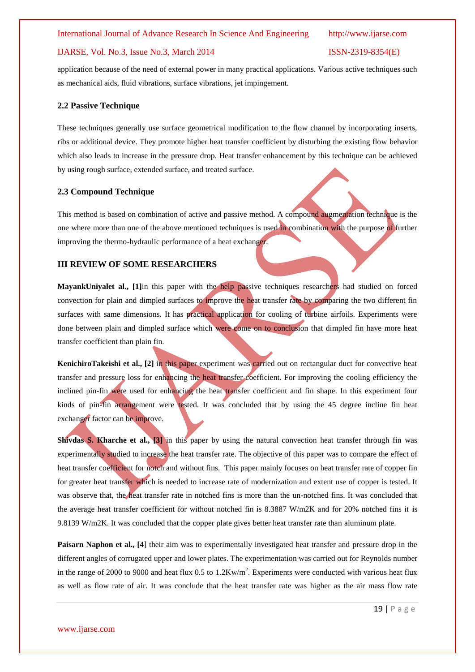### International Journal of Advance Research In Science And Engineering http://www.ijarse.com

### IJARSE, Vol. No.3, Issue No.3, March 2014 ISSN-2319-8354(E)

application because of the need of external power in many practical applications. Various active techniques such as mechanical aids, fluid vibrations, surface vibrations, jet impingement.

### **2.2 Passive Technique**

These techniques generally use surface geometrical modification to the flow channel by incorporating inserts, ribs or additional device. They promote higher heat transfer coefficient by disturbing the existing flow behavior which also leads to increase in the pressure drop. Heat transfer enhancement by this technique can be achieved by using rough surface, extended surface, and treated surface.

### **2.3 Compound Technique**

This method is based on combination of active and passive method. A compound augmentation technique is the one where more than one of the above mentioned techniques is used in combination with the purpose of further improving the thermo-hydraulic performance of a heat exchanger.

### **III REVIEW OF SOME RESEARCHERS**

**MayankUniyalet al., [1]**in this paper with the help passive techniques researchers had studied on forced convection for plain and dimpled surfaces to improve the heat transfer rate by comparing the two different fin surfaces with same dimensions. It has practical application for cooling of turbine airfoils. Experiments were done between plain and dimpled surface which were come on to conclusion that dimpled fin have more heat transfer coefficient than plain fin.

**KenichiroTakeishi et al., [2] in this paper experiment was carried out on rectangular duct for convective heat** transfer and pressure loss for enhancing the heat transfer coefficient. For improving the cooling efficiency the inclined pin-fin were used for enhancing the heat transfer coefficient and fin shape. In this experiment four kinds of pin-fin arrangement were tested. It was concluded that by using the 45 degree incline fin heat exchanger factor can be improve.

**Shivdas S. Kharche et al., [3]** in this paper by using the natural convection heat transfer through fin was experimentally studied to increase the heat transfer rate. The objective of this paper was to compare the effect of heat transfer coefficient for notch and without fins. This paper mainly focuses on heat transfer rate of copper fin for greater heat transfer which is needed to increase rate of modernization and extent use of copper is tested. It was observe that, the heat transfer rate in notched fins is more than the un-notched fins. It was concluded that the average heat transfer coefficient for without notched fin is 8.3887 W/m2K and for 20% notched fins it is 9.8139 W/m2K. It was concluded that the copper plate gives better heat transfer rate than aluminum plate.

**Paisarn Naphon et al., [4]** their aim was to experimentally investigated heat transfer and pressure drop in the different angles of corrugated upper and lower plates. The experimentation was carried out for Reynolds number in the range of 2000 to 9000 and heat flux  $0.5$  to  $1.2$ Kw/m<sup>2</sup>. Experiments were conducted with various heat flux as well as flow rate of air. It was conclude that the heat transfer rate was higher as the air mass flow rate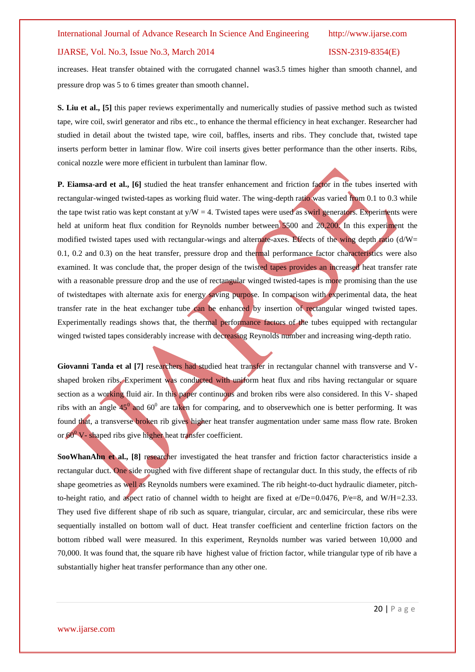# IJARSE, Vol. No.3, Issue No.3, March 2014 ISSN-2319-8354(E)

increases. Heat transfer obtained with the corrugated channel was3.5 times higher than smooth channel, and pressure drop was 5 to 6 times greater than smooth channel.

**S. Liu et al., [5]** this paper reviews experimentally and numerically studies of passive method such as twisted tape, wire coil, swirl generator and ribs etc., to enhance the thermal efficiency in heat exchanger. Researcher had studied in detail about the twisted tape, wire coil, baffles, inserts and ribs. They conclude that, twisted tape inserts perform better in laminar flow. Wire coil inserts gives better performance than the other inserts. Ribs, conical nozzle were more efficient in turbulent than laminar flow.

**P. Eiamsa-ard et al., [6]** studied the heat transfer enhancement and friction factor in the tubes inserted with rectangular-winged twisted-tapes as working fluid water. The wing-depth ratio was varied from 0.1 to 0.3 while the tape twist ratio was kept constant at  $y/W = 4$ . Twisted tapes were used as swirl generators. Experiments were held at uniform heat flux condition for Reynolds number between 5500 and 20,200. In this experiment the modified twisted tapes used with rectangular-wings and alternate-axes. Effects of the wing depth ratio (d/W= 0.1, 0.2 and 0.3) on the heat transfer, pressure drop and thermal performance factor characteristics were also examined. It was conclude that, the proper design of the twisted tapes provides an increased heat transfer rate with a reasonable pressure drop and the use of rectangular winged twisted-tapes is more promising than the use of twistedtapes with alternate axis for energy saving purpose. In comparison with experimental data, the heat transfer rate in the heat exchanger tube can be enhanced by insertion of rectangular winged twisted tapes. Experimentally readings shows that, the thermal performance factors of the tubes equipped with rectangular winged twisted tapes considerably increase with decreasing Reynolds number and increasing wing-depth ratio.

Giovanni Tanda et al [7] researchers had studied heat transfer in rectangular channel with transverse and Vshaped broken ribs. Experiment was conducted with uniform heat flux and ribs having rectangular or square section as a working fluid air. In this paper continuous and broken ribs were also considered. In this V- shaped ribs with an angle 45<sup>0</sup> and 60<sup>0</sup> are taken for comparing, and to observewhich one is better performing. It was found that, a transverse broken rib gives higher heat transfer augmentation under same mass flow rate. Broken or  $60^{\circ}$  V- shaped ribs give higher heat transfer coefficient.

**SooWhanAhn et al., [8] researcher investigated the heat transfer and friction factor characteristics inside a** rectangular duct. One side roughed with five different shape of rectangular duct. In this study, the effects of rib shape geometries as well as Reynolds numbers were examined. The rib height-to-duct hydraulic diameter, pitchto-height ratio, and aspect ratio of channel width to height are fixed at e/De*=*0.0476, P/e=8*,* and W/H*=*2.33. They used five different shape of rib such as square, triangular, circular, arc and semicircular, these ribs were sequentially installed on bottom wall of duct. Heat transfer coefficient and centerline friction factors on the bottom ribbed wall were measured. In this experiment, Reynolds number was varied between 10,000 and 70,000. It was found that, the square rib have highest value of friction factor, while triangular type of rib have a substantially higher heat transfer performance than any other one.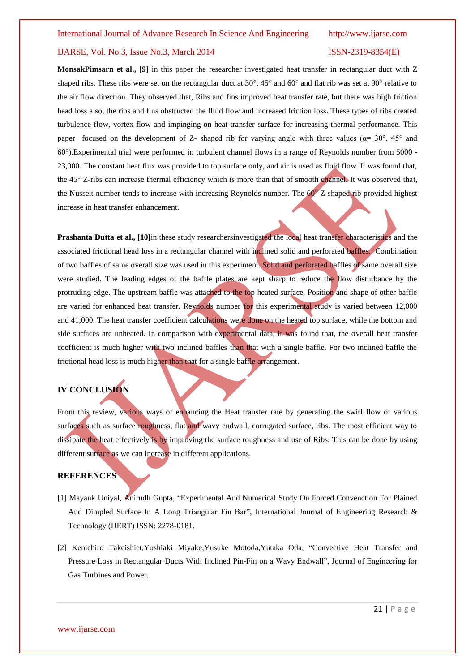# IJARSE, Vol. No.3, Issue No.3, March 2014 ISSN-2319-8354(E)

**MonsakPimsarn et al., [9]** in this paper the researcher investigated heat transfer in rectangular duct with Z shaped ribs. These ribs were set on the rectangular duct at 30°, 45° and 60° and flat rib was set at 90° relative to the air flow direction. They observed that, Ribs and fins improved heat transfer rate, but there was high friction head loss also, the ribs and fins obstructed the fluid flow and increased friction loss. These types of ribs created turbulence flow, vortex flow and impinging on heat transfer surface for increasing thermal performance. This paper focused on the development of Z- shaped rib for varying angle with three values ( $\alpha$ = 30°, 45° and 60°).Experimental trial were performed in turbulent channel flows in a range of Reynolds number from 5000 - 23,000. The constant heat flux was provided to top surface only, and air is used as fluid flow. It was found that, the 45° Z-ribs can increase thermal efficiency which is more than that of smooth channel. It was observed that, the Nusselt number tends to increase with increasing Reynolds number. The  $60^{\circ}$  Z-shaped rib provided highest increase in heat transfer enhancement.

**Prashanta Dutta et al., [10]**in these study researchersinvestigated the local heat transfer characteristics and the associated frictional head loss in a rectangular channel with inclined solid and perforated baffles. Combination of two baffles of same overall size was used in this experiment. Solid and perforated baffles of same overall size were studied. The leading edges of the baffle plates are kept sharp to reduce the flow disturbance by the protruding edge. The upstream baffle was attached to the top heated surface. Position and shape of other baffle are varied for enhanced heat transfer. Reynolds number for this experimental study is varied between 12,000 and 41,000. The heat transfer coefficient calculations were done on the heated top surface, while the bottom and side surfaces are unheated. In comparison with experimental data, it was found that, the overall heat transfer coefficient is much higher with two inclined baffles than that with a single baffle. For two inclined baffle the frictional head loss is much higher than that for a single baffle arrangement.

# **IV CONCLUSION**

From this review, various ways of enhancing the Heat transfer rate by generating the swirl flow of various surfaces such as surface roughness, flat and wavy endwall, corrugated surface, ribs. The most efficient way to dissipate the heat effectively is by improving the surface roughness and use of Ribs. This can be done by using different surface as we can increase in different applications.

# **REFERENCES**

- [1] Mayank Uniyal, Anirudh Gupta, "Experimental And Numerical Study On Forced Convenction For Plained And Dimpled Surface In A Long Triangular Fin Bar", International Journal of Engineering Research & Technology (IJERT) ISSN: 2278-0181.
- [2] Kenichiro Takeishiet,Yoshiaki Miyake,Yusuke Motoda,Yutaka Oda, "Convective Heat Transfer and Pressure Loss in Rectangular Ducts With Inclined Pin-Fin on a Wavy Endwall", Journal of Engineering for Gas Turbines and Power.